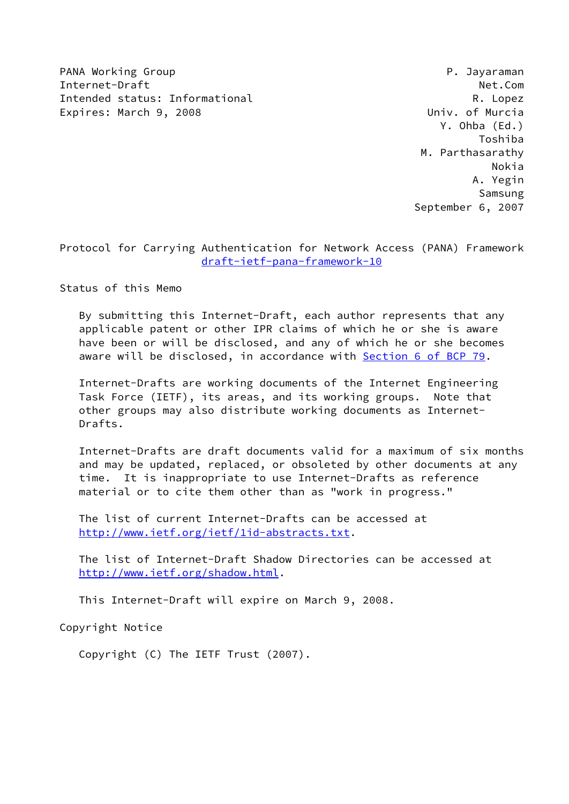PANA Working Group **PANA Working P. Jayaraman** Internet-Draft Net.Com Intended status: Informational Research R. Lopez Expires: March 9, 2008 Univ. of Murcia

 Y. Ohba (Ed.) Toshiba M. Parthasarathy Nokia A. Yegin Samsung September 6, 2007

## Protocol for Carrying Authentication for Network Access (PANA) Framework [draft-ietf-pana-framework-10](https://datatracker.ietf.org/doc/pdf/draft-ietf-pana-framework-10)

Status of this Memo

 By submitting this Internet-Draft, each author represents that any applicable patent or other IPR claims of which he or she is aware have been or will be disclosed, and any of which he or she becomes aware will be disclosed, in accordance with Section [6 of BCP 79.](https://datatracker.ietf.org/doc/pdf/bcp79#section-6)

 Internet-Drafts are working documents of the Internet Engineering Task Force (IETF), its areas, and its working groups. Note that other groups may also distribute working documents as Internet- Drafts.

 Internet-Drafts are draft documents valid for a maximum of six months and may be updated, replaced, or obsoleted by other documents at any time. It is inappropriate to use Internet-Drafts as reference material or to cite them other than as "work in progress."

 The list of current Internet-Drafts can be accessed at <http://www.ietf.org/ietf/1id-abstracts.txt>.

 The list of Internet-Draft Shadow Directories can be accessed at <http://www.ietf.org/shadow.html>.

This Internet-Draft will expire on March 9, 2008.

Copyright Notice

Copyright (C) The IETF Trust (2007).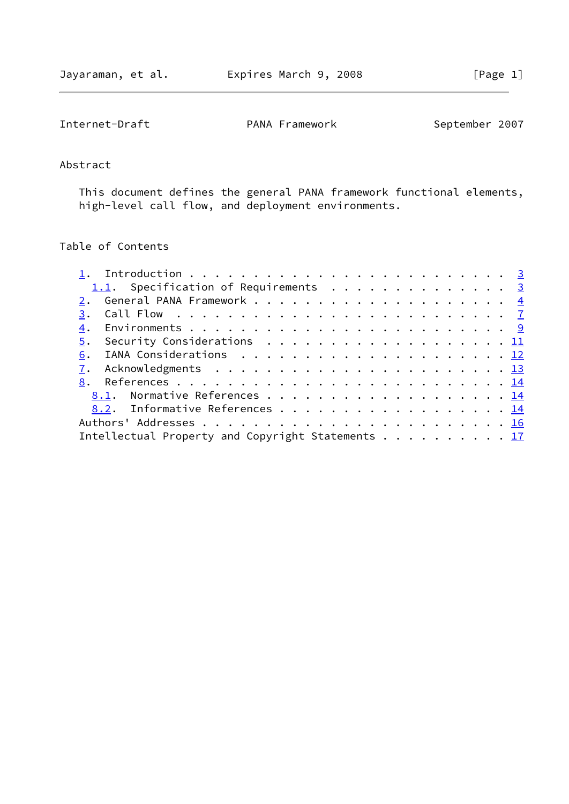# Abstract

 This document defines the general PANA framework functional elements, high-level call flow, and deployment environments.

# Table of Contents

| 1.1. Specification of Requirements $\cdots$ 3     |  |
|---------------------------------------------------|--|
|                                                   |  |
|                                                   |  |
|                                                   |  |
| 5. Security Considerations 11                     |  |
|                                                   |  |
|                                                   |  |
|                                                   |  |
| 8.1. Normative References 14                      |  |
| 8.2. Informative References 14                    |  |
|                                                   |  |
| Intellectual Property and Copyright Statements 17 |  |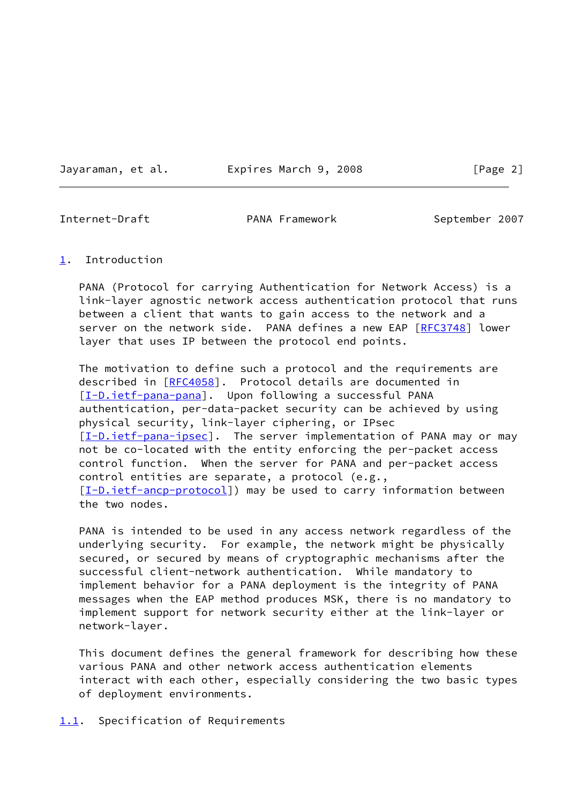Jayaraman, et al. **Expires March 9, 2008** [Page 2]

<span id="page-2-1"></span>

Internet-Draft PANA Framework September 2007

#### <span id="page-2-0"></span>[1](#page-2-0). Introduction

 PANA (Protocol for carrying Authentication for Network Access) is a link-layer agnostic network access authentication protocol that runs between a client that wants to gain access to the network and a server on the network side. PANA defines a new EAP [\[RFC3748](https://datatracker.ietf.org/doc/pdf/rfc3748)] lower layer that uses IP between the protocol end points.

 The motivation to define such a protocol and the requirements are described in [\[RFC4058](https://datatracker.ietf.org/doc/pdf/rfc4058)]. Protocol details are documented in [\[I-D.ietf-pana-pana\]](#page-15-1). Upon following a successful PANA authentication, per-data-packet security can be achieved by using physical security, link-layer ciphering, or IPsec [\[I-D.ietf-pana-ipsec](#page-15-2)]. The server implementation of PANA may or may not be co-located with the entity enforcing the per-packet access control function. When the server for PANA and per-packet access control entities are separate, a protocol (e.g., [\[I-D.ietf-ancp-protocol](#page-15-3)]) may be used to carry information between the two nodes.

 PANA is intended to be used in any access network regardless of the underlying security. For example, the network might be physically secured, or secured by means of cryptographic mechanisms after the successful client-network authentication. While mandatory to implement behavior for a PANA deployment is the integrity of PANA messages when the EAP method produces MSK, there is no mandatory to implement support for network security either at the link-layer or network-layer.

 This document defines the general framework for describing how these various PANA and other network access authentication elements interact with each other, especially considering the two basic types of deployment environments.

<span id="page-2-2"></span>[1.1](#page-2-2). Specification of Requirements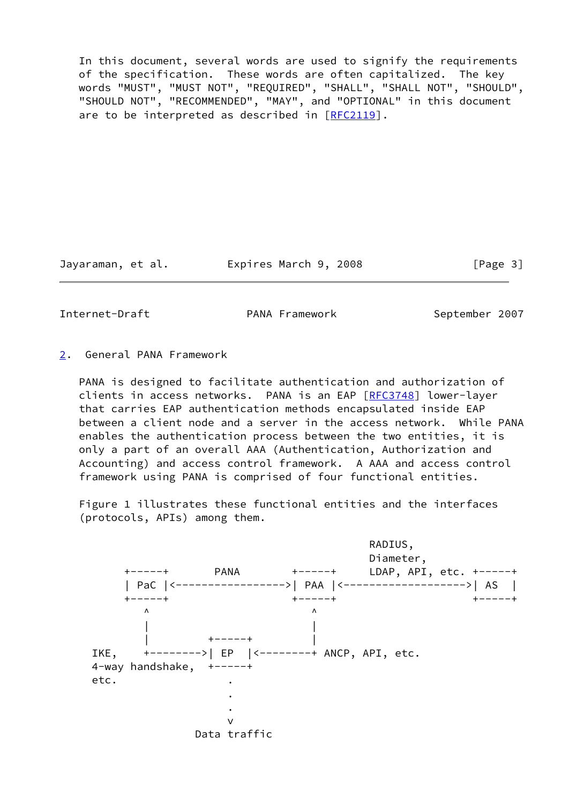In this document, several words are used to signify the requirements of the specification. These words are often capitalized. The key words "MUST", "MUST NOT", "REQUIRED", "SHALL", "SHALL NOT", "SHOULD", "SHOULD NOT", "RECOMMENDED", "MAY", and "OPTIONAL" in this document are to be interpreted as described in  $[REC2119]$ .

Jayaraman, et al. Expires March 9, 2008 [Page 3]

<span id="page-3-1"></span>Internet-Draft PANA Framework September 2007

<span id="page-3-0"></span>[2](#page-3-0). General PANA Framework

 PANA is designed to facilitate authentication and authorization of clients in access networks. PANA is an EAP [\[RFC3748](https://datatracker.ietf.org/doc/pdf/rfc3748)] lower-layer that carries EAP authentication methods encapsulated inside EAP between a client node and a server in the access network. While PANA enables the authentication process between the two entities, it is only a part of an overall AAA (Authentication, Authorization and Accounting) and access control framework. A AAA and access control framework using PANA is comprised of four functional entities.

 Figure 1 illustrates these functional entities and the interfaces (protocols, APIs) among them.

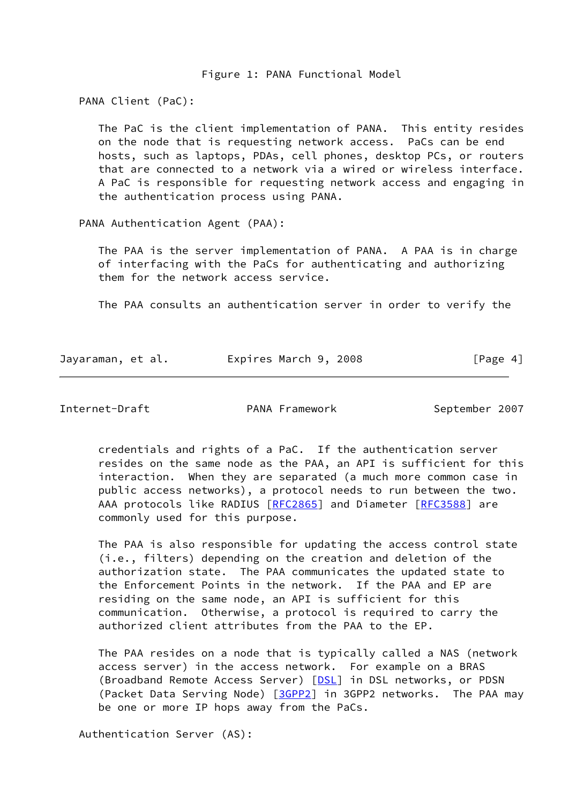#### Figure 1: PANA Functional Model

PANA Client (PaC):

 The PaC is the client implementation of PANA. This entity resides on the node that is requesting network access. PaCs can be end hosts, such as laptops, PDAs, cell phones, desktop PCs, or routers that are connected to a network via a wired or wireless interface. A PaC is responsible for requesting network access and engaging in the authentication process using PANA.

PANA Authentication Agent (PAA):

 The PAA is the server implementation of PANA. A PAA is in charge of interfacing with the PaCs for authenticating and authorizing them for the network access service.

The PAA consults an authentication server in order to verify the

|  | Jayaraman, et al. | Expires March 9, 2008 |  | [Page 4] |  |
|--|-------------------|-----------------------|--|----------|--|
|  |                   |                       |  |          |  |

Internet-Draft PANA Framework September 2007

 credentials and rights of a PaC. If the authentication server resides on the same node as the PAA, an API is sufficient for this interaction. When they are separated (a much more common case in public access networks), a protocol needs to run between the two. AAA protocols like RADIUS [\[RFC2865](https://datatracker.ietf.org/doc/pdf/rfc2865)] and Diameter [\[RFC3588](https://datatracker.ietf.org/doc/pdf/rfc3588)] are commonly used for this purpose.

 The PAA is also responsible for updating the access control state (i.e., filters) depending on the creation and deletion of the authorization state. The PAA communicates the updated state to the Enforcement Points in the network. If the PAA and EP are residing on the same node, an API is sufficient for this communication. Otherwise, a protocol is required to carry the authorized client attributes from the PAA to the EP.

 The PAA resides on a node that is typically called a NAS (network access server) in the access network. For example on a BRAS (Broadband Remote Access Server) [\[DSL](#page-15-4)] in DSL networks, or PDSN (Packet Data Serving Node) [[3GPP2\]](#page-16-0) in 3GPP2 networks. The PAA may be one or more IP hops away from the PaCs.

Authentication Server (AS):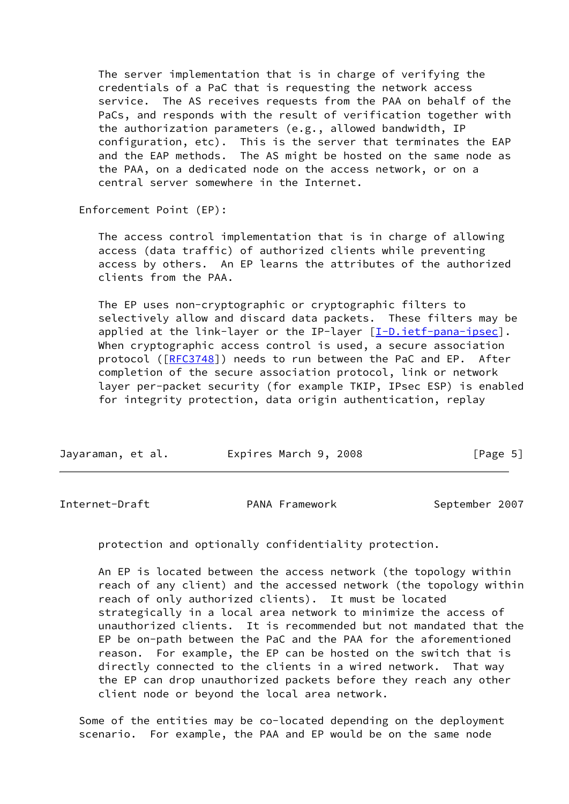The server implementation that is in charge of verifying the credentials of a PaC that is requesting the network access service. The AS receives requests from the PAA on behalf of the PaCs, and responds with the result of verification together with the authorization parameters (e.g., allowed bandwidth, IP configuration, etc). This is the server that terminates the EAP and the EAP methods. The AS might be hosted on the same node as the PAA, on a dedicated node on the access network, or on a central server somewhere in the Internet.

Enforcement Point (EP):

 The access control implementation that is in charge of allowing access (data traffic) of authorized clients while preventing access by others. An EP learns the attributes of the authorized clients from the PAA.

 The EP uses non-cryptographic or cryptographic filters to selectively allow and discard data packets. These filters may be applied at the link-layer or the IP-layer [\[I-D.ietf-pana-ipsec](#page-15-2)]. When cryptographic access control is used, a secure association protocol ([\[RFC3748](https://datatracker.ietf.org/doc/pdf/rfc3748)]) needs to run between the PaC and EP. After completion of the secure association protocol, link or network layer per-packet security (for example TKIP, IPsec ESP) is enabled for integrity protection, data origin authentication, replay

| Jayaraman, et al. | Expires March 9, 2008 | [Page 5] |
|-------------------|-----------------------|----------|
|-------------------|-----------------------|----------|

Internet-Draft PANA Framework September 2007

protection and optionally confidentiality protection.

 An EP is located between the access network (the topology within reach of any client) and the accessed network (the topology within reach of only authorized clients). It must be located strategically in a local area network to minimize the access of unauthorized clients. It is recommended but not mandated that the EP be on-path between the PaC and the PAA for the aforementioned reason. For example, the EP can be hosted on the switch that is directly connected to the clients in a wired network. That way the EP can drop unauthorized packets before they reach any other client node or beyond the local area network.

 Some of the entities may be co-located depending on the deployment scenario. For example, the PAA and EP would be on the same node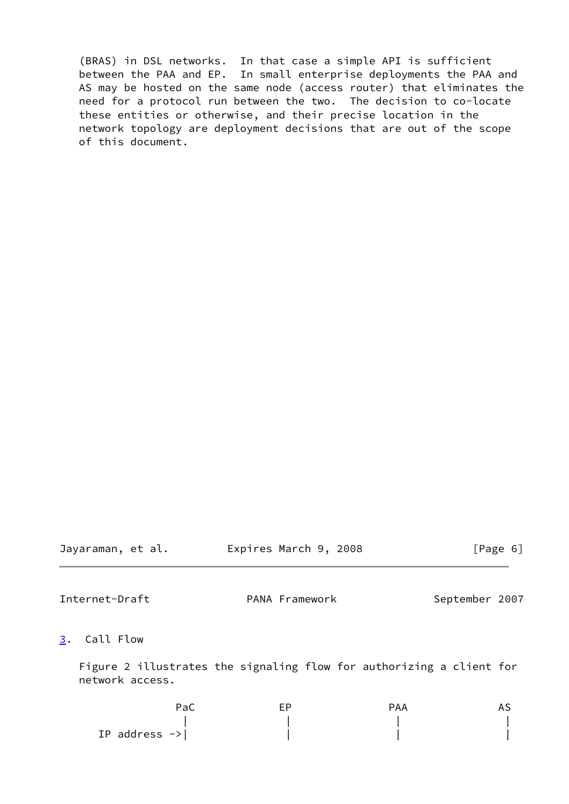(BRAS) in DSL networks. In that case a simple API is sufficient between the PAA and EP. In small enterprise deployments the PAA and AS may be hosted on the same node (access router) that eliminates the need for a protocol run between the two. The decision to co-locate these entities or otherwise, and their precise location in the network topology are deployment decisions that are out of the scope of this document.

Jayaraman, et al. Expires March 9, 2008 [Page 6]

<span id="page-6-1"></span>Internet-Draft PANA Framework September 2007

## <span id="page-6-0"></span>[3](#page-6-0). Call Flow

 Figure 2 illustrates the signaling flow for authorizing a client for network access.

| PaC                      |  | ¬ - |
|--------------------------|--|-----|
|                          |  |     |
| IP address $\rightarrow$ |  |     |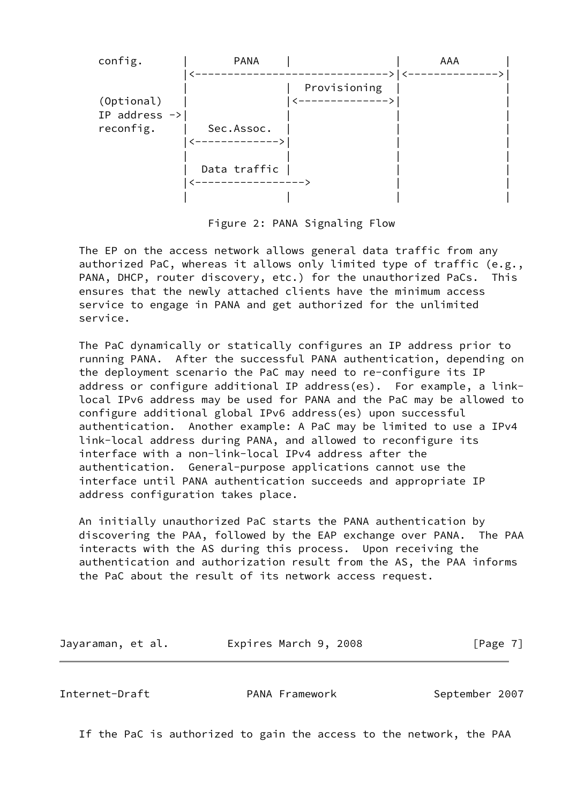

Figure 2: PANA Signaling Flow

 The EP on the access network allows general data traffic from any authorized PaC, whereas it allows only limited type of traffic (e.g., PANA, DHCP, router discovery, etc.) for the unauthorized PaCs. This ensures that the newly attached clients have the minimum access service to engage in PANA and get authorized for the unlimited service.

 The PaC dynamically or statically configures an IP address prior to running PANA. After the successful PANA authentication, depending on the deployment scenario the PaC may need to re-configure its IP address or configure additional IP address(es). For example, a link local IPv6 address may be used for PANA and the PaC may be allowed to configure additional global IPv6 address(es) upon successful authentication. Another example: A PaC may be limited to use a IPv4 link-local address during PANA, and allowed to reconfigure its interface with a non-link-local IPv4 address after the authentication. General-purpose applications cannot use the interface until PANA authentication succeeds and appropriate IP address configuration takes place.

 An initially unauthorized PaC starts the PANA authentication by discovering the PAA, followed by the EAP exchange over PANA. The PAA interacts with the AS during this process. Upon receiving the authentication and authorization result from the AS, the PAA informs the PaC about the result of its network access request.

Jayaraman, et al. **Expires March 9, 2008** [Page 7]

Internet-Draft PANA Framework September 2007

If the PaC is authorized to gain the access to the network, the PAA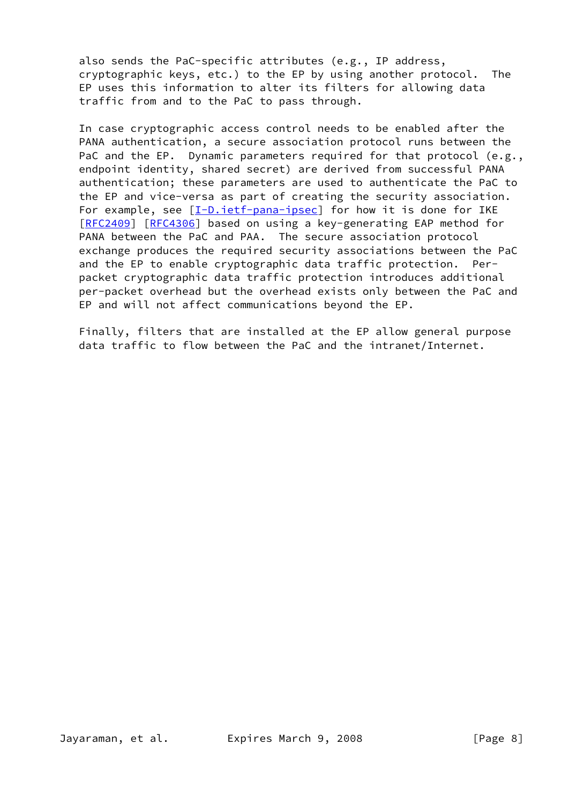also sends the PaC-specific attributes (e.g., IP address, cryptographic keys, etc.) to the EP by using another protocol. The EP uses this information to alter its filters for allowing data traffic from and to the PaC to pass through.

 In case cryptographic access control needs to be enabled after the PANA authentication, a secure association protocol runs between the PaC and the EP. Dynamic parameters required for that protocol (e.g., endpoint identity, shared secret) are derived from successful PANA authentication; these parameters are used to authenticate the PaC to the EP and vice-versa as part of creating the security association. For example, see [\[I-D.ietf-pana-ipsec](#page-15-2)] for how it is done for IKE [\[RFC2409](https://datatracker.ietf.org/doc/pdf/rfc2409)] [[RFC4306](https://datatracker.ietf.org/doc/pdf/rfc4306)] based on using a key-generating EAP method for PANA between the PaC and PAA. The secure association protocol exchange produces the required security associations between the PaC and the EP to enable cryptographic data traffic protection. Per packet cryptographic data traffic protection introduces additional per-packet overhead but the overhead exists only between the PaC and EP and will not affect communications beyond the EP.

 Finally, filters that are installed at the EP allow general purpose data traffic to flow between the PaC and the intranet/Internet.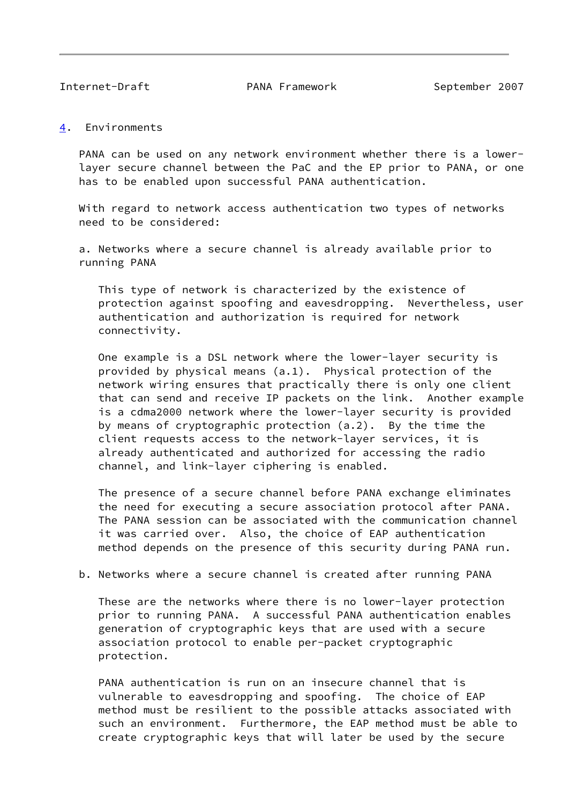<span id="page-9-1"></span>

<span id="page-9-0"></span>[4](#page-9-0). Environments

 PANA can be used on any network environment whether there is a lower layer secure channel between the PaC and the EP prior to PANA, or one has to be enabled upon successful PANA authentication.

 With regard to network access authentication two types of networks need to be considered:

 a. Networks where a secure channel is already available prior to running PANA

 This type of network is characterized by the existence of protection against spoofing and eavesdropping. Nevertheless, user authentication and authorization is required for network connectivity.

 One example is a DSL network where the lower-layer security is provided by physical means (a.1). Physical protection of the network wiring ensures that practically there is only one client that can send and receive IP packets on the link. Another example is a cdma2000 network where the lower-layer security is provided by means of cryptographic protection (a.2). By the time the client requests access to the network-layer services, it is already authenticated and authorized for accessing the radio channel, and link-layer ciphering is enabled.

 The presence of a secure channel before PANA exchange eliminates the need for executing a secure association protocol after PANA. The PANA session can be associated with the communication channel it was carried over. Also, the choice of EAP authentication method depends on the presence of this security during PANA run.

b. Networks where a secure channel is created after running PANA

 These are the networks where there is no lower-layer protection prior to running PANA. A successful PANA authentication enables generation of cryptographic keys that are used with a secure association protocol to enable per-packet cryptographic protection.

 PANA authentication is run on an insecure channel that is vulnerable to eavesdropping and spoofing. The choice of EAP method must be resilient to the possible attacks associated with such an environment. Furthermore, the EAP method must be able to create cryptographic keys that will later be used by the secure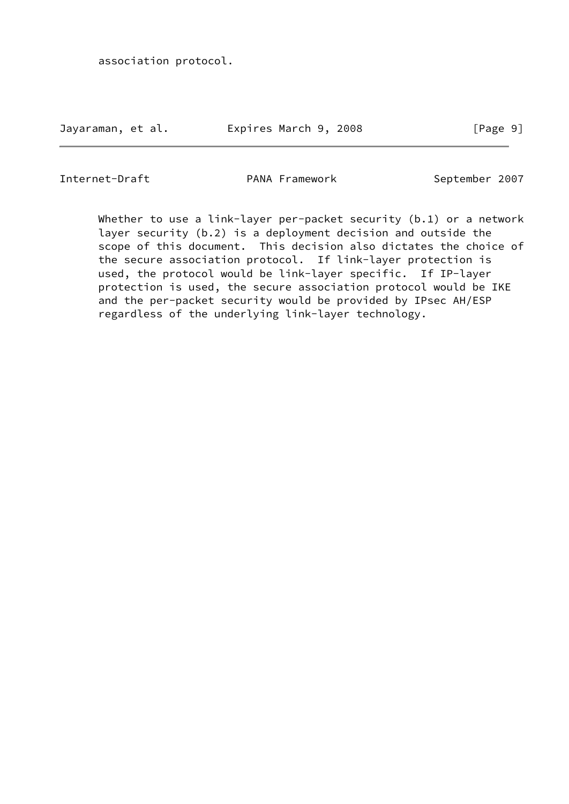association protocol.

### Jayaraman, et al. **Expires March 9, 2008** [Page 9]

Internet-Draft PANA Framework September 2007

Whether to use a link-layer per-packet security (b.1) or a network layer security (b.2) is a deployment decision and outside the scope of this document. This decision also dictates the choice of the secure association protocol. If link-layer protection is used, the protocol would be link-layer specific. If IP-layer protection is used, the secure association protocol would be IKE and the per-packet security would be provided by IPsec AH/ESP regardless of the underlying link-layer technology.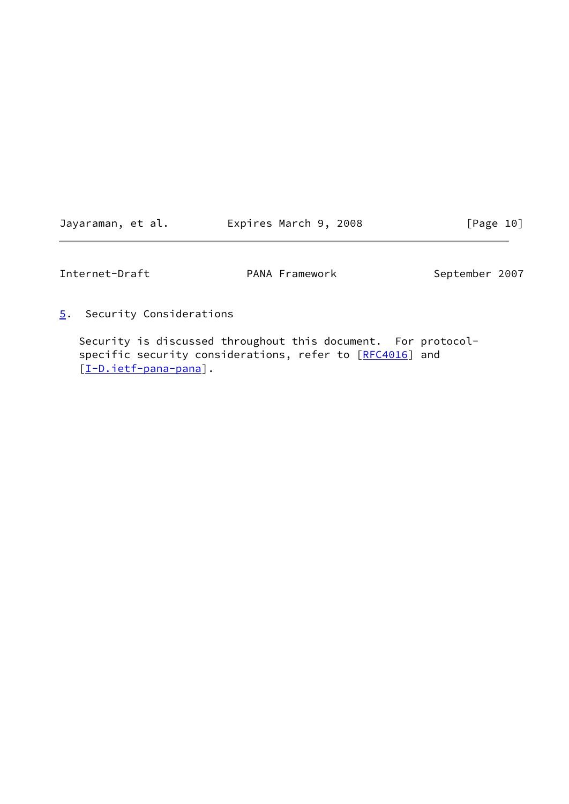<span id="page-11-1"></span>

| Jayaraman, et al. | Expires March 9, 2008 | [Page 10] |
|-------------------|-----------------------|-----------|
|-------------------|-----------------------|-----------|

<span id="page-11-0"></span>[5](#page-11-0). Security Considerations

 Security is discussed throughout this document. For protocol- specific security considerations, refer to [[RFC4016\]](https://datatracker.ietf.org/doc/pdf/rfc4016) and [\[I-D.ietf-pana-pana\]](#page-15-1).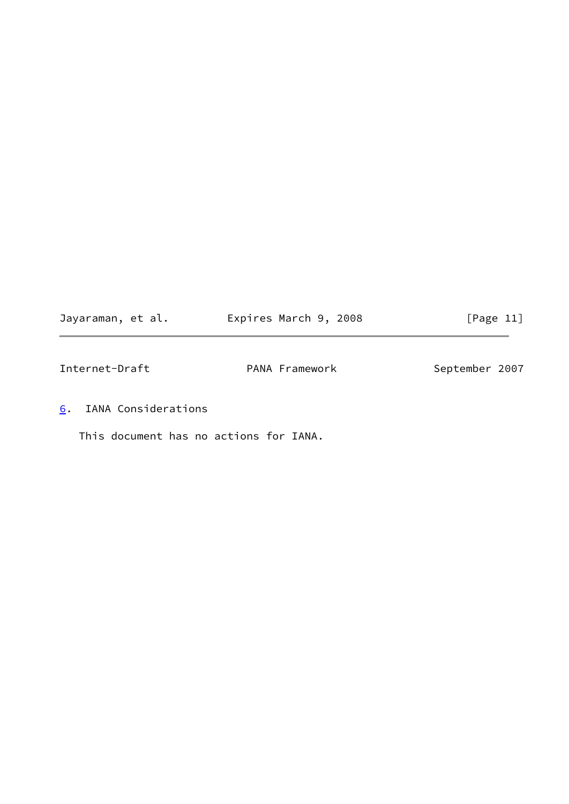<span id="page-12-1"></span>

| Jayaraman, et al. |  | Expires March 9, 2008 | [Page 11] |  |
|-------------------|--|-----------------------|-----------|--|
|                   |  |                       |           |  |

<span id="page-12-0"></span>[6](#page-12-0). IANA Considerations

This document has no actions for IANA.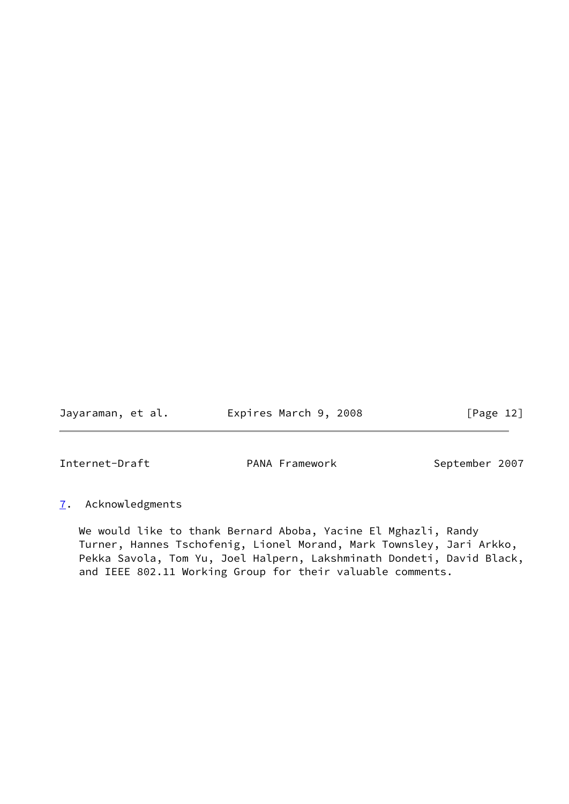Jayaraman, et al. **Expires March 9, 2008** [Page 12]

<span id="page-13-1"></span>Internet-Draft PANA Framework September 2007

## <span id="page-13-0"></span>[7](#page-13-0). Acknowledgments

 We would like to thank Bernard Aboba, Yacine El Mghazli, Randy Turner, Hannes Tschofenig, Lionel Morand, Mark Townsley, Jari Arkko, Pekka Savola, Tom Yu, Joel Halpern, Lakshminath Dondeti, David Black, and IEEE 802.11 Working Group for their valuable comments.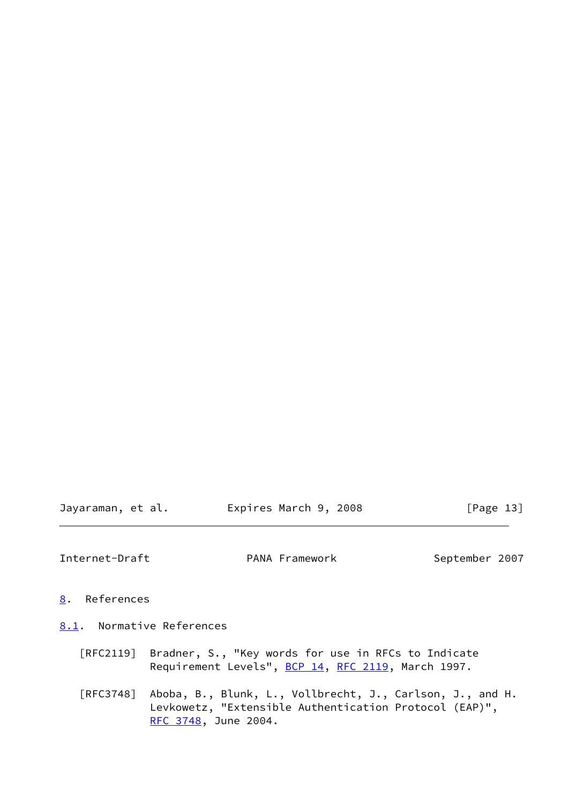Jayaraman, et al. **Expires March 9, 2008** [Page 13]

<span id="page-14-1"></span>Internet-Draft PANA Framework September 2007

- <span id="page-14-0"></span>[8](#page-14-0). References
- <span id="page-14-2"></span>[8.1](#page-14-2). Normative References
	- [RFC2119] Bradner, S., "Key words for use in RFCs to Indicate Requirement Levels", [BCP 14](https://datatracker.ietf.org/doc/pdf/bcp14), [RFC 2119](https://datatracker.ietf.org/doc/pdf/rfc2119), March 1997.
	- [RFC3748] Aboba, B., Blunk, L., Vollbrecht, J., Carlson, J., and H. Levkowetz, "Extensible Authentication Protocol (EAP)", [RFC 3748,](https://datatracker.ietf.org/doc/pdf/rfc3748) June 2004.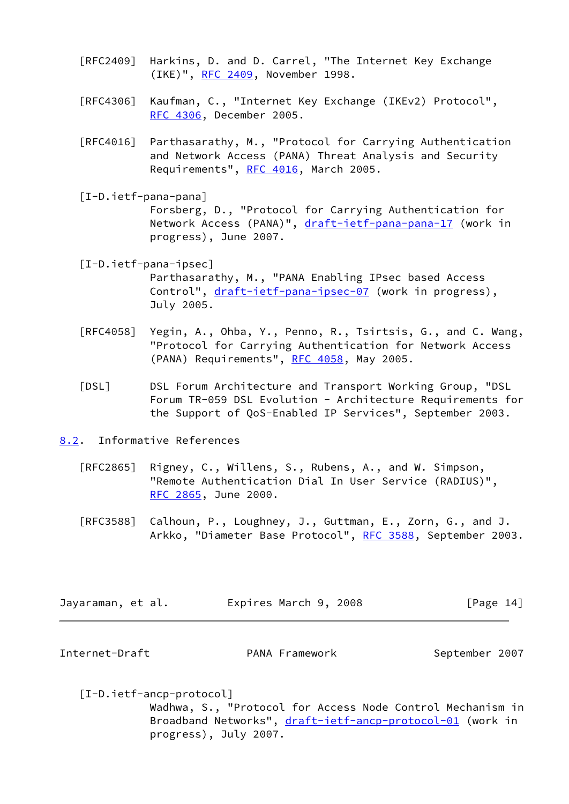- [RFC2409] Harkins, D. and D. Carrel, "The Internet Key Exchange (IKE)", [RFC 2409,](https://datatracker.ietf.org/doc/pdf/rfc2409) November 1998.
- [RFC4306] Kaufman, C., "Internet Key Exchange (IKEv2) Protocol", [RFC 4306,](https://datatracker.ietf.org/doc/pdf/rfc4306) December 2005.
- [RFC4016] Parthasarathy, M., "Protocol for Carrying Authentication and Network Access (PANA) Threat Analysis and Security Requirements", [RFC 4016](https://datatracker.ietf.org/doc/pdf/rfc4016), March 2005.
- <span id="page-15-1"></span> [I-D.ietf-pana-pana] Forsberg, D., "Protocol for Carrying Authentication for Network Access (PANA)", [draft-ietf-pana-pana-17](https://datatracker.ietf.org/doc/pdf/draft-ietf-pana-pana-17) (work in progress), June 2007.
- <span id="page-15-2"></span> [I-D.ietf-pana-ipsec] Parthasarathy, M., "PANA Enabling IPsec based Access Control", [draft-ietf-pana-ipsec-07](https://datatracker.ietf.org/doc/pdf/draft-ietf-pana-ipsec-07) (work in progress), July 2005.
- [RFC4058] Yegin, A., Ohba, Y., Penno, R., Tsirtsis, G., and C. Wang, "Protocol for Carrying Authentication for Network Access (PANA) Requirements", [RFC 4058](https://datatracker.ietf.org/doc/pdf/rfc4058), May 2005.
- <span id="page-15-4"></span> [DSL] DSL Forum Architecture and Transport Working Group, "DSL Forum TR-059 DSL Evolution - Architecture Requirements for the Support of QoS-Enabled IP Services", September 2003.
- <span id="page-15-0"></span>[8.2](#page-15-0). Informative References
	- [RFC2865] Rigney, C., Willens, S., Rubens, A., and W. Simpson, "Remote Authentication Dial In User Service (RADIUS)", [RFC 2865,](https://datatracker.ietf.org/doc/pdf/rfc2865) June 2000.
	- [RFC3588] Calhoun, P., Loughney, J., Guttman, E., Zorn, G., and J. Arkko, "Diameter Base Protocol", [RFC 3588,](https://datatracker.ietf.org/doc/pdf/rfc3588) September 2003.

| Jayaraman, et al. | Expires March 9, 2008 | [Page 14] |
|-------------------|-----------------------|-----------|
|-------------------|-----------------------|-----------|

<span id="page-15-3"></span> [I-D.ietf-ancp-protocol] Wadhwa, S., "Protocol for Access Node Control Mechanism in Broadband Networks", [draft-ietf-ancp-protocol-01](https://datatracker.ietf.org/doc/pdf/draft-ietf-ancp-protocol-01) (work in progress), July 2007.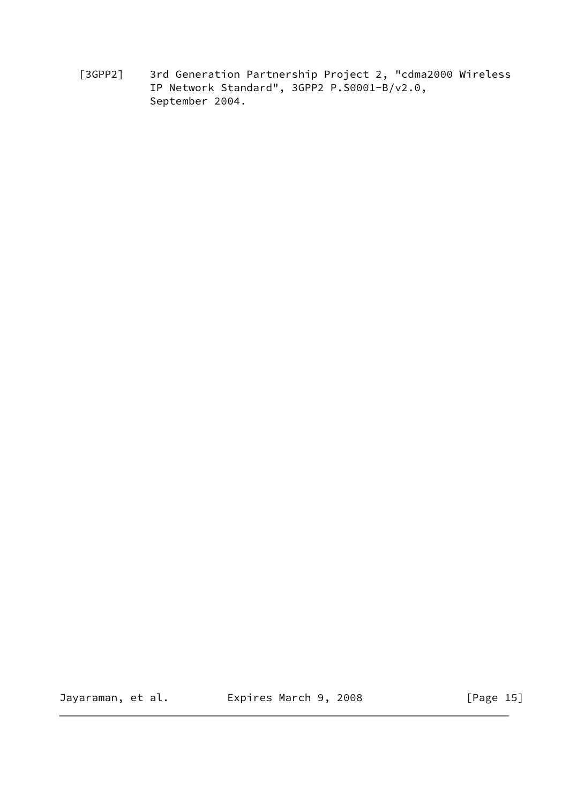<span id="page-16-0"></span> [3GPP2] 3rd Generation Partnership Project 2, "cdma2000 Wireless IP Network Standard", 3GPP2 P.S0001-B/v2.0, September 2004.

Jayaraman, et al. **Expires March 9, 2008** [Page 15]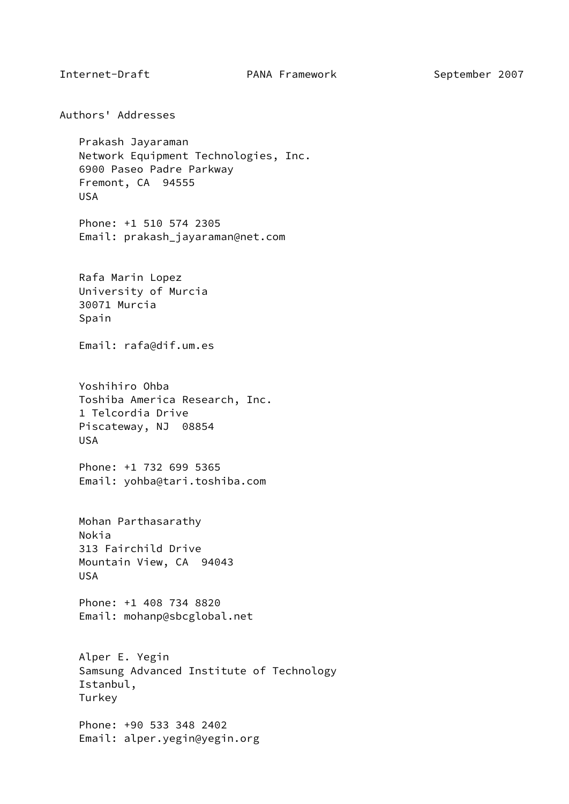<span id="page-17-0"></span>Authors' Addresses

 Prakash Jayaraman Network Equipment Technologies, Inc. 6900 Paseo Padre Parkway Fremont, CA 94555 USA

 Phone: +1 510 574 2305 Email: prakash\_jayaraman@net.com

 Rafa Marin Lopez University of Murcia 30071 Murcia Spain

Email: rafa@dif.um.es

 Yoshihiro Ohba Toshiba America Research, Inc. 1 Telcordia Drive Piscateway, NJ 08854 USA

 Phone: +1 732 699 5365 Email: yohba@tari.toshiba.com

 Mohan Parthasarathy Nokia 313 Fairchild Drive Mountain View, CA 94043 USA

 Phone: +1 408 734 8820 Email: mohanp@sbcglobal.net

 Alper E. Yegin Samsung Advanced Institute of Technology Istanbul, Turkey

 Phone: +90 533 348 2402 Email: alper.yegin@yegin.org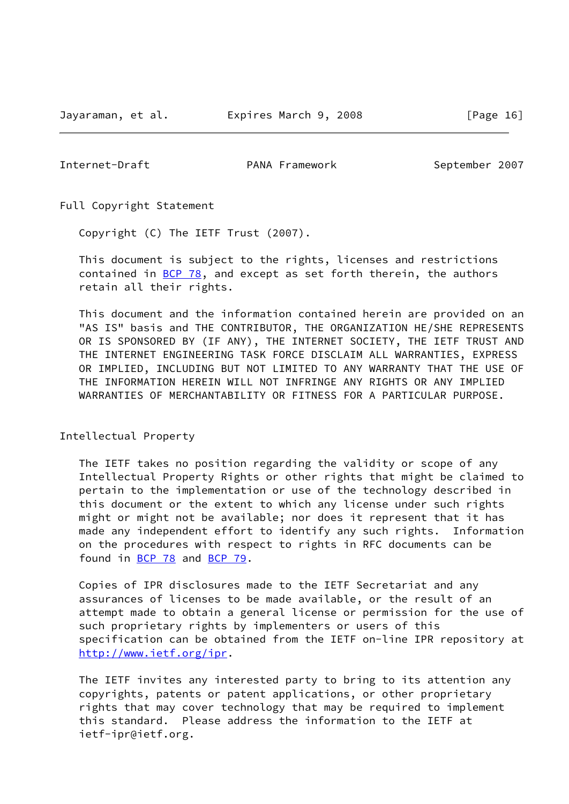<span id="page-18-0"></span>Full Copyright Statement

Copyright (C) The IETF Trust (2007).

 This document is subject to the rights, licenses and restrictions contained in  $BCP$  78, and except as set forth therein, the authors retain all their rights.

 This document and the information contained herein are provided on an "AS IS" basis and THE CONTRIBUTOR, THE ORGANIZATION HE/SHE REPRESENTS OR IS SPONSORED BY (IF ANY), THE INTERNET SOCIETY, THE IETF TRUST AND THE INTERNET ENGINEERING TASK FORCE DISCLAIM ALL WARRANTIES, EXPRESS OR IMPLIED, INCLUDING BUT NOT LIMITED TO ANY WARRANTY THAT THE USE OF THE INFORMATION HEREIN WILL NOT INFRINGE ANY RIGHTS OR ANY IMPLIED WARRANTIES OF MERCHANTABILITY OR FITNESS FOR A PARTICULAR PURPOSE.

Intellectual Property

 The IETF takes no position regarding the validity or scope of any Intellectual Property Rights or other rights that might be claimed to pertain to the implementation or use of the technology described in this document or the extent to which any license under such rights might or might not be available; nor does it represent that it has made any independent effort to identify any such rights. Information on the procedures with respect to rights in RFC documents can be found in [BCP 78](https://datatracker.ietf.org/doc/pdf/bcp78) and [BCP 79](https://datatracker.ietf.org/doc/pdf/bcp79).

 Copies of IPR disclosures made to the IETF Secretariat and any assurances of licenses to be made available, or the result of an attempt made to obtain a general license or permission for the use of such proprietary rights by implementers or users of this specification can be obtained from the IETF on-line IPR repository at <http://www.ietf.org/ipr>.

 The IETF invites any interested party to bring to its attention any copyrights, patents or patent applications, or other proprietary rights that may cover technology that may be required to implement this standard. Please address the information to the IETF at ietf-ipr@ietf.org.